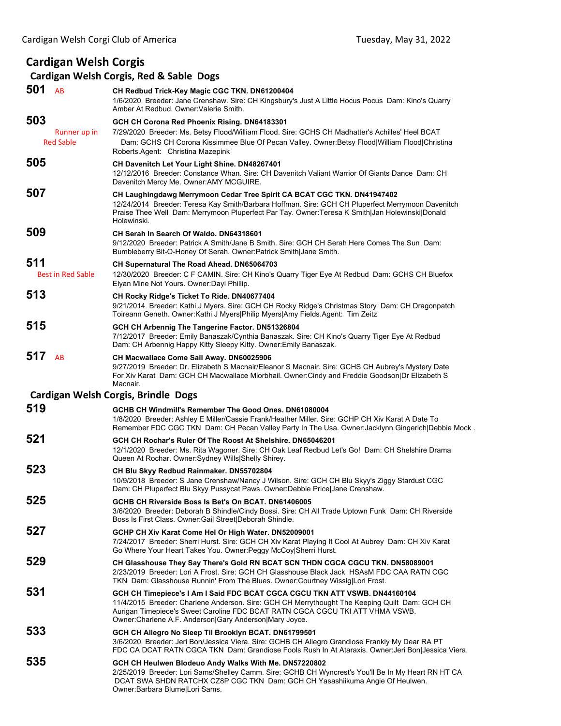## **Cardigan Welsh Corgis**

## **Cardigan Welsh Corgis, Red & Sable Dogs**

| 501<br>AB                | CH Redbud Trick-Key Magic CGC TKN. DN61200404<br>1/6/2020 Breeder: Jane Crenshaw. Sire: CH Kingsbury's Just A Little Hocus Pocus Dam: Kino's Quarry<br>Amber At Redbud, Owner: Valerie Smith.                                                                                                                           |
|--------------------------|-------------------------------------------------------------------------------------------------------------------------------------------------------------------------------------------------------------------------------------------------------------------------------------------------------------------------|
| 503                      | GCH CH Corona Red Phoenix Rising. DN64183301                                                                                                                                                                                                                                                                            |
| Runner up in             | 7/29/2020 Breeder: Ms. Betsy Flood/William Flood. Sire: GCHS CH Madhatter's Achilles' Heel BCAT                                                                                                                                                                                                                         |
| <b>Red Sable</b>         | Dam: GCHS CH Corona Kissimmee Blue Of Pecan Valley. Owner: Betsy Flood William Flood Christina<br>Roberts.Agent: Christina Mazepink                                                                                                                                                                                     |
| 505                      | <b>CH Davenitch Let Your Light Shine. DN48267401</b><br>12/12/2016 Breeder: Constance Whan. Sire: CH Davenitch Valiant Warrior Of Giants Dance Dam: CH<br>Davenitch Mercy Me. Owner: AMY MCGUIRE.                                                                                                                       |
| 507                      | CH Laughingdawg Merrymoon Cedar Tree Spirit CA BCAT CGC TKN. DN41947402<br>12/24/2014 Breeder: Teresa Kay Smith/Barbara Hoffman. Sire: GCH CH Pluperfect Merrymoon Davenitch<br>Praise Thee Well Dam: Merrymoon Pluperfect Par Tay. Owner: Teresa K Smith Jan Holewinski Donald<br>Holewinski.                          |
| 509                      | CH Serah In Search Of Waldo, DN64318601<br>9/12/2020 Breeder: Patrick A Smith/Jane B Smith. Sire: GCH CH Serah Here Comes The Sun Dam:<br>Bumbleberry Bit-O-Honey Of Serah. Owner: Patrick Smith Jane Smith.                                                                                                            |
| 511                      | CH Supernatural The Road Ahead. DN65064703                                                                                                                                                                                                                                                                              |
| <b>Best in Red Sable</b> | 12/30/2020 Breeder: C F CAMIN. Sire: CH Kino's Quarry Tiger Eye At Redbud Dam: GCHS CH Bluefox<br>Elyan Mine Not Yours. Owner: Dayl Phillip.                                                                                                                                                                            |
| 513                      | CH Rocky Ridge's Ticket To Ride. DN40677404<br>9/21/2014 Breeder: Kathi J Myers. Sire: GCH CH Rocky Ridge's Christmas Story Dam: CH Dragonpatch<br>Toireann Geneth. Owner: Kathi J Myers Philip Myers Amy Fields. Agent: Tim Zeitz                                                                                      |
| 515                      | GCH CH Arbennig The Tangerine Factor. DN51326804<br>7/12/2017 Breeder: Emily Banaszak/Cynthia Banaszak. Sire: CH Kino's Quarry Tiger Eye At Redbud<br>Dam: CH Arbennig Happy Kitty Sleepy Kitty. Owner: Emily Banaszak.                                                                                                 |
| 517<br>AB                | CH Macwallace Come Sail Away. DN60025906<br>9/27/2019 Breeder: Dr. Elizabeth S Macnair/Eleanor S Macnair. Sire: GCHS CH Aubrey's Mystery Date<br>For Xiv Karat Dam: GCH CH Macwallace Miorbhail. Owner:Cindy and Freddie Goodson Dr Elizabeth S<br>Macnair.                                                             |
|                          | Cardigan Welsh Corgis, Brindle Dogs                                                                                                                                                                                                                                                                                     |
| 519                      | GCHB CH Windmill's Remember The Good Ones. DN61080004<br>1/8/2020 Breeder: Ashley E Miller/Cassie Frank/Heather Miller. Sire: GCHP CH Xiv Karat A Date To<br>Remember FDC CGC TKN Dam: CH Pecan Valley Party In The Usa. Owner: Jacklynn Gingerich Debbie Mock.                                                         |
| 521                      | GCH CH Rochar's Ruler Of The Roost At Shelshire. DN65046201<br>12/1/2020 Breeder: Ms. Rita Wagoner. Sire: CH Oak Leaf Redbud Let's Go! Dam: CH Shelshire Drama<br>Queen At Rochar. Owner: Sydney Wills Shelly Shirey.                                                                                                   |
| 523                      | CH Blu Skyy Redbud Rainmaker. DN55702804<br>10/9/2018 Breeder: S Jane Crenshaw/Nancy J Wilson. Sire: GCH CH Blu Skyy's Ziggy Stardust CGC<br>Dam: CH Pluperfect Blu Skyy Pussycat Paws. Owner:Debbie Price Jane Crenshaw.                                                                                               |
| 525                      | GCHB CH Riverside Boss Is Bet's On BCAT. DN61406005<br>3/6/2020 Breeder: Deborah B Shindle/Cindy Bossi. Sire: CH All Trade Uptown Funk Dam: CH Riverside<br>Boss Is First Class. Owner: Gail Street   Deborah Shindle.                                                                                                  |
| 527                      | GCHP CH Xiv Karat Come Hel Or High Water. DN52009001<br>7/24/2017 Breeder: Sherri Hurst. Sire: GCH CH Xiv Karat Playing It Cool At Aubrey Dam: CH Xiv Karat<br>Go Where Your Heart Takes You. Owner: Peggy McCoy Sherri Hurst.                                                                                          |
| 529                      | CH Glasshouse They Say There's Gold RN BCAT SCN THDN CGCA CGCU TKN. DN58089001<br>2/23/2019 Breeder: Lori A Frost, Sire: GCH CH Glasshouse Black Jack HSAsM FDC CAA RATN CGC<br>TKN Dam: Glasshouse Runnin' From The Blues. Owner: Courtney Wissig Lori Frost.                                                          |
| 531                      | GCH CH Timepiece's I Am I Said FDC BCAT CGCA CGCU TKN ATT VSWB. DN44160104<br>11/4/2015 Breeder: Charlene Anderson. Sire: GCH CH Merrythought The Keeping Quilt Dam: GCH CH<br>Aurigan Timepiece's Sweet Caroline FDC BCAT RATN CGCA CGCU TKI ATT VHMA VSWB.<br>Owner: Charlene A.F. Anderson Gary Anderson Mary Joyce. |
| 533                      | GCH CH Allegro No Sleep Til Brooklyn BCAT. DN61799501<br>3/6/2020 Breeder: Jeri Bon/Jessica Viera. Sire: GCHB CH Allegro Grandiose Frankly My Dear RA PT<br>FDC CA DCAT RATN CGCA TKN Dam: Grandiose Fools Rush In At Ataraxis. Owner: Jeri Bon Jessica Viera.                                                          |
| 535                      | GCH CH Heulwen Blodeuo Andy Walks With Me. DN57220802<br>2/25/2019 Breeder: Lori Sams/Shelley Camm. Sire: GCHB CH Wyncrest's You'll Be In My Heart RN HT CA<br>DCAT SWA SHDN RATCHX CZ8P CGC TKN Dam: GCH CH Yasashiikuma Angie Of Heulwen.<br>Owner: Barbara Blume Lori Sams.                                          |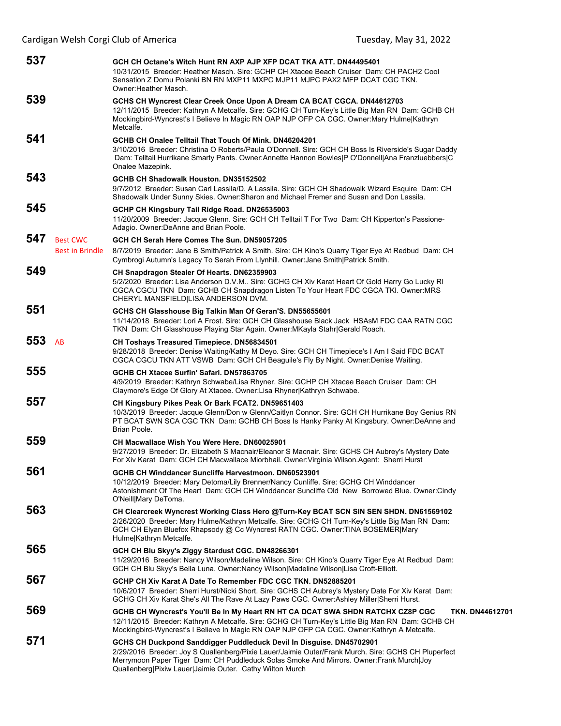| 537 |                                           | GCH CH Octane's Witch Hunt RN AXP AJP XFP DCAT TKA ATT, DN44495401<br>10/31/2015 Breeder: Heather Masch. Sire: GCHP CH Xtacee Beach Cruiser Dam: CH PACH2 Cool<br>Sensation Z Domu Polanki BN RN MXP11 MXPC MJP11 MJPC PAX2 MFP DCAT CGC TKN.<br>Owner: Heather Masch.                                                              |
|-----|-------------------------------------------|-------------------------------------------------------------------------------------------------------------------------------------------------------------------------------------------------------------------------------------------------------------------------------------------------------------------------------------|
| 539 |                                           | GCHS CH Wyncrest Clear Creek Once Upon A Dream CA BCAT CGCA. DN44612703<br>12/11/2015 Breeder: Kathryn A Metcalfe. Sire: GCHG CH Turn-Key's Little Big Man RN Dam: GCHB CH<br>Mockingbird-Wyncrest's I Believe In Magic RN OAP NJP OFP CA CGC. Owner: Mary Hulme Kathryn<br>Metcalfe.                                               |
| 541 |                                           | GCHB CH Onalee Telltail That Touch Of Mink, DN46204201<br>3/10/2016 Breeder: Christina O Roberts/Paula O'Donnell. Sire: GCH CH Boss Is Riverside's Sugar Daddy<br>Dam: Telltail Hurrikane Smarty Pants. Owner: Annette Hannon Bowles P O'Donnell Ana Franzluebbers C<br>Onalee Mazepink.                                            |
| 543 |                                           | GCHB CH Shadowalk Houston. DN35152502<br>9/7/2012 Breeder: Susan Carl Lassila/D. A Lassila. Sire: GCH CH Shadowalk Wizard Esquire Dam: CH<br>Shadowalk Under Sunny Skies. Owner: Sharon and Michael Fremer and Susan and Don Lassila.                                                                                               |
| 545 |                                           | GCHP CH Kingsbury Tail Ridge Road. DN26535003<br>11/20/2009 Breeder: Jacque Glenn. Sire: GCH CH Telltail T For Two Dam: CH Kipperton's Passione-<br>Adagio. Owner: DeAnne and Brian Poole.                                                                                                                                          |
| 547 | <b>Best CWC</b><br><b>Best in Brindle</b> | GCH CH Serah Here Comes The Sun. DN59057205<br>8/7/2019 Breeder: Jane B Smith/Patrick A Smith. Sire: CH Kino's Quarry Tiger Eye At Redbud Dam: CH<br>Cymbrogi Autumn's Legacy To Serah From Llynhill. Owner: Jane Smith Patrick Smith.                                                                                              |
| 549 |                                           | CH Snapdragon Stealer Of Hearts. DN62359903<br>5/2/2020 Breeder: Lisa Anderson D.V.M Sire: GCHG CH Xiv Karat Heart Of Gold Harry Go Lucky RI<br>CGCA CGCU TKN Dam: GCHB CH Snapdragon Listen To Your Heart FDC CGCA TKI. Owner: MRS<br>CHERYL MANSFIELD LISA ANDERSON DVM.                                                          |
| 551 |                                           | GCHS CH Glasshouse Big Talkin Man Of Geran'S. DN55655601<br>11/14/2018 Breeder: Lori A Frost. Sire: GCH CH Glasshouse Black Jack HSAsM FDC CAA RATN CGC<br>TKN Dam: CH Glasshouse Playing Star Again. Owner: MKayla Stahr Gerald Roach.                                                                                             |
| 553 | AB                                        | <b>CH Toshays Treasured Timepiece. DN56834501</b><br>9/28/2018 Breeder: Denise Waiting/Kathy M Deyo. Sire: GCH CH Timepiece's I Am I Said FDC BCAT<br>CGCA CGCU TKN ATT VSWB Dam: GCH CH Beaguile's Fly By Night. Owner:Denise Waiting.                                                                                             |
| 555 |                                           | GCHB CH Xtacee Surfin' Safari. DN57863705<br>4/9/2019 Breeder: Kathryn Schwabe/Lisa Rhyner. Sire: GCHP CH Xtacee Beach Cruiser Dam: CH<br>Claymore's Edge Of Glory At Xtacee. Owner:Lisa Rhyner Kathryn Schwabe.                                                                                                                    |
| 557 |                                           | CH Kingsbury Pikes Peak Or Bark FCAT2. DN59651403<br>10/3/2019 Breeder: Jacque Glenn/Don w Glenn/Caitlyn Connor. Sire: GCH CH Hurrikane Boy Genius RN<br>PT BCAT SWN SCA CGC TKN Dam: GCHB CH Boss Is Hanky Panky At Kingsbury. Owner:DeAnne and<br>Brian Poole.                                                                    |
| 559 |                                           | CH Macwallace Wish You Were Here. DN60025901<br>9/27/2019 Breeder: Dr. Elizabeth S Macnair/Eleanor S Macnair. Sire: GCHS CH Aubrey's Mystery Date<br>For Xiv Karat Dam: GCH CH Macwallace Miorbhail. Owner: Virginia Wilson.Agent: Sherri Hurst                                                                                     |
| 561 |                                           | <b>GCHB CH Winddancer Suncliffe Harvestmoon, DN60523901</b><br>10/12/2019 Breeder: Mary Detoma/Lily Brenner/Nancy Cunliffe. Sire: GCHG CH Winddancer<br>Astonishment Of The Heart Dam: GCH CH Winddancer Suncliffe Old New Borrowed Blue. Owner:Cindy<br>O'Neill Mary DeToma.                                                       |
| 563 |                                           | CH Clearcreek Wyncrest Working Class Hero @Turn-Key BCAT SCN SIN SEN SHDN. DN61569102<br>2/26/2020 Breeder: Mary Hulme/Kathryn Metcalfe. Sire: GCHG CH Turn-Key's Little Big Man RN Dam:<br>GCH CH Elyan Bluefox Rhapsody @ Cc Wyncrest RATN CGC. Owner:TINA BOSEMER Mary<br>Hulme Kathryn Metcalfe.                                |
| 565 |                                           | GCH CH Blu Skyy's Ziggy Stardust CGC. DN48266301<br>11/29/2016 Breeder: Nancy Wilson/Madeline Wilson. Sire: CH Kino's Quarry Tiger Eye At Redbud Dam:<br>GCH CH Blu Skyy's Bella Luna. Owner: Nancy Wilson Madeline Wilson Lisa Croft-Elliott.                                                                                      |
| 567 |                                           | GCHP CH Xiv Karat A Date To Remember FDC CGC TKN, DN52885201<br>10/6/2017 Breeder: Sherri Hurst/Nicki Short. Sire: GCHS CH Aubrey's Mystery Date For Xiv Karat Dam:<br>GCHG CH Xiv Karat She's All The Rave At Lazy Paws CGC. Owner: Ashley Miller Sherri Hurst.                                                                    |
| 569 |                                           | GCHB CH Wyncrest's You'll Be In My Heart RN HT CA DCAT SWA SHDN RATCHX CZ8P CGC<br><b>TKN. DN44612701</b><br>12/11/2015 Breeder: Kathryn A Metcalfe. Sire: GCHG CH Turn-Key's Little Big Man RN Dam: GCHB CH<br>Mockingbird-Wyncrest's I Believe In Magic RN OAP NJP OFP CA CGC. Owner: Kathryn A Metcalfe.                         |
| 571 |                                           | GCHS CH Duckpond Sanddigger Puddleduck Devil In Disguise. DN45702901<br>2/29/2016 Breeder: Joy S Quallenberg/Pixie Lauer/Jaimie Outer/Frank Murch. Sire: GCHS CH Pluperfect<br>Merrymoon Paper Tiger Dam: CH Puddleduck Solas Smoke And Mirrors. Owner: Frank Murch Joy<br>Quallenberg Pixiw Lauer Jaimie Outer. Cathy Wilton Murch |

Cardigan Welsh Corgi Club of America Tuesday, May 31, 2022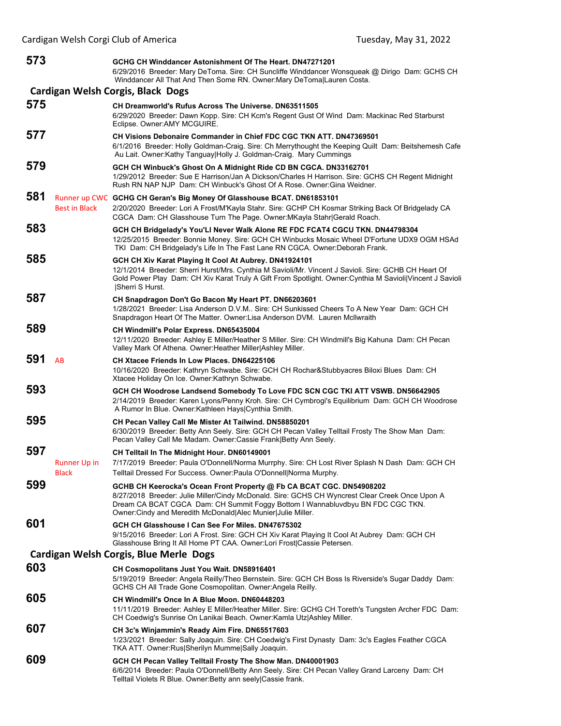| 573 |                              | GCHG CH Winddancer Astonishment Of The Heart. DN47271201<br>6/29/2016 Breeder: Mary DeToma. Sire: CH Suncliffe Winddancer Wonsqueak @ Dirigo Dam: GCHS CH<br>Winddancer All That And Then Some RN. Owner: Mary DeToma Lauren Costa.                                                                                      |
|-----|------------------------------|--------------------------------------------------------------------------------------------------------------------------------------------------------------------------------------------------------------------------------------------------------------------------------------------------------------------------|
|     |                              | Cardigan Welsh Corgis, Black Dogs                                                                                                                                                                                                                                                                                        |
| 575 |                              | CH Dreamworld's Rufus Across The Universe, DN63511505<br>6/29/2020 Breeder: Dawn Kopp. Sire: CH Kcm's Regent Gust Of Wind Dam: Mackinac Red Starburst<br>Eclipse. Owner:AMY MCGUIRE.                                                                                                                                     |
| 577 |                              | <b>CH Visions Debonaire Commander in Chief FDC CGC TKN ATT. DN47369501</b><br>6/1/2016 Breeder: Holly Goldman-Craig. Sire: Ch Merrythought the Keeping Quilt Dam: Beitshemesh Cafe<br>Au Lait. Owner:Kathy Tanguay Holly J. Goldman-Craig. Mary Cummings                                                                 |
| 579 |                              | GCH CH Winbuck's Ghost On A Midnight Ride CD BN CGCA. DN33162701<br>1/29/2012 Breeder: Sue E Harrison/Jan A Dickson/Charles H Harrison. Sire: GCHS CH Regent Midnight<br>Rush RN NAP NJP Dam: CH Winbuck's Ghost Of A Rose, Owner: Gina Weidner,                                                                         |
| 581 | <b>Best in Black</b>         | Runner up CWC GCHG CH Geran's Big Money Of Glasshouse BCAT. DN61853101<br>2/20/2020 Breeder: Lori A Frost/M'Kayla Stahr. Sire: GCHP CH Kosmar Striking Back Of Bridgelady CA<br>CGCA Dam: CH Glasshouse Turn The Page. Owner: MKayla Stahr Gerald Roach.                                                                 |
| 583 |                              | GCH CH Bridgelady's You'LI Never Walk Alone RE FDC FCAT4 CGCU TKN. DN44798304<br>12/25/2015 Breeder: Bonnie Money. Sire: GCH CH Winbucks Mosaic Wheel D'Fortune UDX9 OGM HSAd<br>TKI Dam: CH Bridgelady's Life In The Fast Lane RN CGCA. Owner: Deborah Frank.                                                           |
| 585 |                              | GCH CH Xiv Karat Playing It Cool At Aubrey. DN41924101<br>12/1/2014 Breeder: Sherri Hurst/Mrs. Cynthia M Savioli/Mr. Vincent J Savioli. Sire: GCHB CH Heart Of<br>Gold Power Play Dam: CH Xiv Karat Truly A Gift From Spotlight. Owner:Cynthia M Savioli Vincent J Savioli<br><b>ISherri S Hurst.</b>                    |
| 587 |                              | CH Snapdragon Don't Go Bacon My Heart PT. DN66203601<br>1/28/2021 Breeder: Lisa Anderson D.V.M Sire: CH Sunkissed Cheers To A New Year Dam: GCH CH<br>Snapdragon Heart Of The Matter. Owner: Lisa Anderson DVM. Lauren McIlwraith                                                                                        |
| 589 |                              | <b>CH Windmill's Polar Express. DN65435004</b><br>12/11/2020 Breeder: Ashley E Miller/Heather S Miller. Sire: CH Windmill's Big Kahuna Dam: CH Pecan<br>Valley Mark Of Athena. Owner: Heather Miller Ashley Miller.                                                                                                      |
| 591 | AB                           | CH Xtacee Friends In Low Places. DN64225106<br>10/16/2020 Breeder: Kathryn Schwabe. Sire: GCH CH Rochar&Stubbyacres Biloxi Blues Dam: CH<br>Xtacee Holiday On Ice. Owner: Kathryn Schwabe.                                                                                                                               |
| 593 |                              | GCH CH Woodrose Landsend Somebody To Love FDC SCN CGC TKI ATT VSWB. DN56642905<br>2/14/2019 Breeder: Karen Lyons/Penny Kroh. Sire: CH Cymbrogi's Equilibrium Dam: GCH CH Woodrose<br>A Rumor In Blue. Owner: Kathleen Hays Cynthia Smith.                                                                                |
| 595 |                              | CH Pecan Valley Call Me Mister At Tailwind. DN58850201<br>6/30/2019 Breeder: Betty Ann Seely. Sire: GCH CH Pecan Valley Telltail Frosty The Show Man Dam:<br>Pecan Valley Call Me Madam. Owner: Cassie Frank   Betty Ann Seely.                                                                                          |
| 597 | Runner Up in<br><b>Black</b> | CH Telltail In The Midnight Hour. DN60149001<br>7/17/2019 Breeder: Paula O'Donnell/Norma Murrphy. Sire: CH Lost River Splash N Dash Dam: GCH CH<br>Telltail Dressed For Success. Owner: Paula O'Donnell Norma Murphy.                                                                                                    |
| 599 |                              | GCHB CH Keerocka's Ocean Front Property @ Fb CA BCAT CGC. DN54908202<br>8/27/2018 Breeder: Julie Miller/Cindy McDonald. Sire: GCHS CH Wyncrest Clear Creek Once Upon A<br>Dream CA BCAT CGCA Dam: CH Summit Foggy Bottom I Wannabluvdbyu BN FDC CGC TKN.<br>Owner: Cindy and Meredith McDonald Alec Munier Julie Miller. |
| 601 |                              | GCH CH Glasshouse I Can See For Miles, DN47675302<br>9/15/2016 Breeder: Lori A Frost. Sire: GCH CH Xiv Karat Playing It Cool At Aubrey Dam: GCH CH<br>Glasshouse Bring It All Home PT CAA. Owner:Lori Frost Cassie Petersen.                                                                                             |
|     |                              | Cardigan Welsh Corgis, Blue Merle Dogs                                                                                                                                                                                                                                                                                   |
| 603 |                              | <b>CH Cosmopolitans Just You Wait. DN58916401</b><br>5/19/2019 Breeder: Angela Reilly/Theo Bernstein. Sire: GCH CH Boss Is Riverside's Sugar Daddy Dam:<br>GCHS CH All Trade Gone Cosmopolitan. Owner: Angela Reilly.                                                                                                    |
| 605 |                              | CH Windmill's Once In A Blue Moon. DN60448203<br>11/11/2019 Breeder: Ashley E Miller/Heather Miller. Sire: GCHG CH Toreth's Tungsten Archer FDC Dam:<br>CH Coedwig's Sunrise On Lanikai Beach. Owner: Kamla Utz Ashley Miller.                                                                                           |
| 607 |                              | CH 3c's Winjammin's Ready Aim Fire. DN65517603<br>1/23/2021 Breeder: Sally Joaquin. Sire: CH Coedwig's First Dynasty Dam: 3c's Eagles Feather CGCA<br>TKA ATT. Owner:Rus Sherilyn Mumme Sally Joaquin.                                                                                                                   |
| 609 |                              | GCH CH Pecan Valley Telltail Frosty The Show Man. DN40001903<br>6/6/2014 Breeder: Paula O'Donnell/Betty Ann Seely. Sire: CH Pecan Valley Grand Larceny Dam: CH<br>Telltail Violets R Blue. Owner: Betty ann seely Cassie frank.                                                                                          |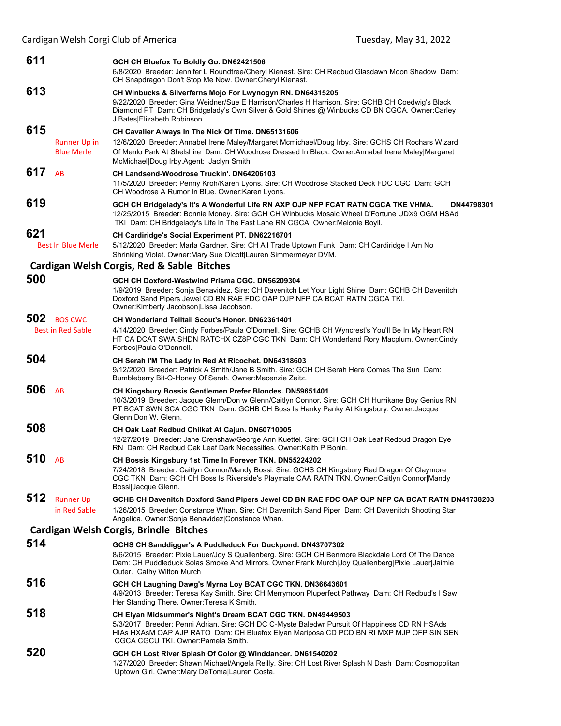| Cardigan Welsh Corgi Club of America            |                                                                                                                                                                                                                                                                                                         | Tuesday, May 31, 2022                                                                         |
|-------------------------------------------------|---------------------------------------------------------------------------------------------------------------------------------------------------------------------------------------------------------------------------------------------------------------------------------------------------------|-----------------------------------------------------------------------------------------------|
| 611                                             | GCH CH Bluefox To Boldly Go. DN62421506<br>6/8/2020 Breeder: Jennifer L Roundtree/Cheryl Kienast. Sire: CH Redbud Glasdawn Moon Shadow Dam:<br>CH Snapdragon Don't Stop Me Now. Owner: Cheryl Kienast.                                                                                                  |                                                                                               |
| 613                                             | CH Winbucks & Silverferns Mojo For Lwynogyn RN. DN64315205<br>9/22/2020 Breeder: Gina Weidner/Sue E Harrison/Charles H Harrison. Sire: GCHB CH Coedwig's Black<br>Diamond PT Dam: CH Bridgelady's Own Silver & Gold Shines @ Winbucks CD BN CGCA. Owner:Carley<br>J Bates Elizabeth Robinson.           |                                                                                               |
| 615<br><b>Runner Up in</b><br><b>Blue Merle</b> | CH Cavalier Always In The Nick Of Time. DN65131606<br>12/6/2020 Breeder: Annabel Irene Maley/Margaret Mcmichael/Doug Irby. Sire: GCHS CH Rochars Wizard<br>Of Menlo Park At Shelshire Dam: CH Woodrose Dressed In Black. Owner: Annabel Irene Maley Margaret<br>McMichael Doug Irby.Agent: Jaclyn Smith |                                                                                               |
| 617<br>AB                                       | <b>CH Landsend-Woodrose Truckin', DN64206103</b><br>11/5/2020 Breeder: Penny Kroh/Karen Lyons. Sire: CH Woodrose Stacked Deck FDC CGC Dam: GCH<br>CH Woodrose A Rumor In Blue. Owner: Karen Lyons.                                                                                                      |                                                                                               |
| 619                                             | GCH CH Bridgelady's It's A Wonderful Life RN AXP OJP NFP FCAT RATN CGCA TKE VHMA.<br>12/25/2015 Breeder: Bonnie Money. Sire: GCH CH Winbucks Mosaic Wheel D'Fortune UDX9 OGM HSAd<br>TKI Dam: CH Bridgelady's Life In The Fast Lane RN CGCA. Owner: Melonie Boyll.                                      | DN44798301                                                                                    |
| 621<br><b>Best In Blue Merle</b>                | <b>CH Cardiridge's Social Experiment PT. DN62216701</b><br>5/12/2020 Breeder: Marla Gardner. Sire: CH All Trade Uptown Funk Dam: CH Cardiridge I Am No<br>Shrinking Violet. Owner: Mary Sue Olcott Lauren Simmermeyer DVM.                                                                              |                                                                                               |
|                                                 | Cardigan Welsh Corgis, Red & Sable Bitches                                                                                                                                                                                                                                                              |                                                                                               |
| 500                                             | GCH CH Doxford-Westwind Prisma CGC. DN56209304<br>1/9/2019 Breeder: Sonja Benavidez. Sire: CH Davenitch Let Your Light Shine Dam: GCHB CH Davenitch<br>Doxford Sand Pipers Jewel CD BN RAE FDC OAP OJP NFP CA BCAT RATN CGCA TKI.<br>Owner:Kimberly Jacobson Lissa Jacobson.                            |                                                                                               |
| 502 BOS CWC<br><b>Best in Red Sable</b>         | <b>CH Wonderland Telltail Scout's Honor, DN62361401</b><br>4/14/2020 Breeder: Cindy Forbes/Paula O'Donnell. Sire: GCHB CH Wyncrest's You'll Be In My Heart RN<br>HT CA DCAT SWA SHDN RATCHX CZ8P CGC TKN Dam: CH Wonderland Rory Macplum. Owner:Cindy<br>Forbes Paula O'Donnell.                        |                                                                                               |
| 504                                             | CH Serah I'M The Lady In Red At Ricochet. DN64318603<br>9/12/2020 Breeder: Patrick A Smith/Jane B Smith. Sire: GCH CH Serah Here Comes The Sun Dam:<br>Bumbleberry Bit-O-Honey Of Serah. Owner: Macenzie Zeitz.                                                                                         |                                                                                               |
| 506<br>AB                                       | CH Kingsbury Bossis Gentlemen Prefer Blondes. DN59651401<br>10/3/2019 Breeder: Jacque Glenn/Don w Glenn/Caitlyn Connor. Sire: GCH CH Hurrikane Boy Genius RN<br>PT BCAT SWN SCA CGC TKN Dam: GCHB CH Boss Is Hanky Panky At Kingsbury. Owner: Jacque<br>Glenn Don W. Glenn.                             |                                                                                               |
| 508                                             | CH Oak Leaf Redbud Chilkat At Cajun. DN60710005<br>12/27/2019 Breeder: Jane Crenshaw/George Ann Kuettel. Sire: GCH CH Oak Leaf Redbud Dragon Eye<br>RN  Dam: CH Redbud Oak Leaf Dark Necessities. Owner:Keith P Bonin.                                                                                  |                                                                                               |
| 510<br>AB                                       | CH Bossis Kingsbury 1st Time In Forever TKN. DN55224202<br>7/24/2018 Breeder: Caitlyn Connor/Mandy Bossi. Sire: GCHS CH Kingsbury Red Dragon Of Claymore<br>CGC TKN Dam: GCH CH Boss Is Riverside's Playmate CAA RATN TKN. Owner:Caitlyn Connor Mandy<br>Bossi Jacque Glenn.                            |                                                                                               |
| 512<br><b>Runner Up</b><br>in Red Sable         | 1/26/2015 Breeder: Constance Whan. Sire: CH Davenitch Sand Piper Dam: CH Davenitch Shooting Star<br>Angelica. Owner: Sonja Benavidez Constance Whan.                                                                                                                                                    | GCHB CH Davenitch Doxford Sand Pipers Jewel CD BN RAE FDC OAP OJP NFP CA BCAT RATN DN41738203 |
|                                                 | Cardigan Welsh Corgis, Brindle Bitches                                                                                                                                                                                                                                                                  |                                                                                               |
| 514                                             | GCHS CH Sanddigger's A Puddleduck For Duckpond. DN43707302<br>8/6/2015 Breeder: Pixie Lauer/Joy S Quallenberg. Sire: GCH CH Benmore Blackdale Lord Of The Dance<br>Dam: CH Puddleduck Solas Smoke And Mirrors. Owner: Frank Murch Joy Quallenberg Pixie Lauer Jaimie<br>Outer. Cathy Wilton Murch       |                                                                                               |
| 516                                             | GCH CH Laughing Dawg's Myrna Loy BCAT CGC TKN. DN36643601<br>4/9/2013 Breeder: Teresa Kay Smith. Sire: CH Merrymoon Pluperfect Pathway Dam: CH Redbud's I Saw<br>Her Standing There. Owner: Teresa K Smith.                                                                                             |                                                                                               |
| 518                                             | CH Elyan Midsummer's Night's Dream BCAT CGC TKN. DN49449503<br>5/3/2017 Breeder: Penni Adrian. Sire: GCH DC C-Myste Baledwr Pursuit Of Happiness CD RN HSAds<br>HIAS HXASM OAP AJP RATO Dam: CH Bluefox Elyan Mariposa CD PCD BN RI MXP MJP OFP SIN SEN<br>CGCA CGCU TKI. Owner: Pamela Smith.          |                                                                                               |
| 520                                             | GCH CH Lost River Splash Of Color @ Winddancer. DN61540202<br>1/27/2020 Breeder: Shawn Michael/Angela Reilly. Sire: CH Lost River Splash N Dash Dam: Cosmopolitan<br>Uptown Girl. Owner: Mary DeToma Lauren Costa.                                                                                      |                                                                                               |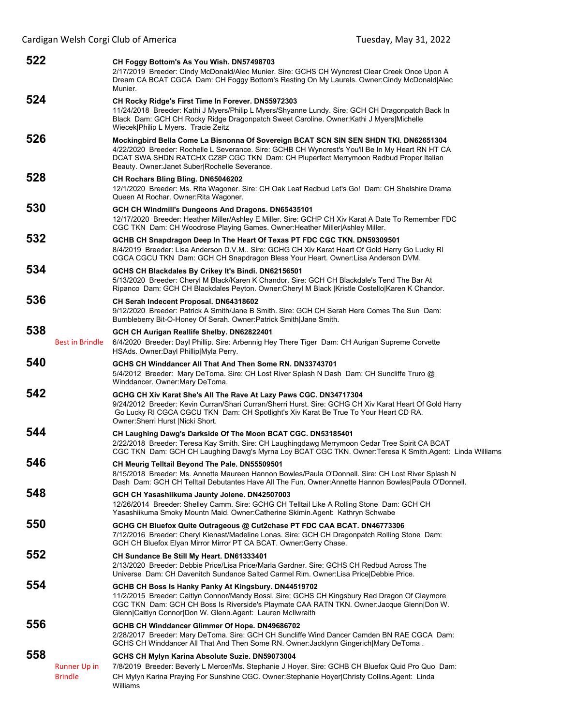| 522 |                                       | CH Foggy Bottom's As You Wish. DN57498703<br>2/17/2019 Breeder: Cindy McDonald/Alec Munier. Sire: GCHS CH Wyncrest Clear Creek Once Upon A<br>Dream CA BCAT CGCA Dam: CH Foggy Bottom's Resting On My Laurels. Owner:Cindy McDonald Alec<br>Munier.                                                                                 |
|-----|---------------------------------------|-------------------------------------------------------------------------------------------------------------------------------------------------------------------------------------------------------------------------------------------------------------------------------------------------------------------------------------|
| 524 |                                       | CH Rocky Ridge's First Time In Forever. DN55972303<br>11/24/2018 Breeder: Kathi J Myers/Philip L Myers/Shyanne Lundy. Sire: GCH CH Dragonpatch Back In<br>Black Dam: GCH CH Rocky Ridge Dragonpatch Sweet Caroline. Owner: Kathi J Myers Michelle<br>Wiecek Philip L Myers. Tracie Zeitz                                            |
| 526 |                                       | Mockingbird Bella Come La Bisnonna Of Sovereign BCAT SCN SIN SEN SHDN TKI. DN62651304<br>4/22/2020 Breeder: Rochelle L Severance. Sire: GCHB CH Wyncrest's You'll Be In My Heart RN HT CA<br>DCAT SWA SHDN RATCHX CZ8P CGC TKN Dam: CH Pluperfect Merrymoon Redbud Proper Italian<br>Beauty. Owner: Janet Suber Rochelle Severance. |
| 528 |                                       | CH Rochars Bling Bling. DN65046202<br>12/1/2020 Breeder: Ms. Rita Wagoner. Sire: CH Oak Leaf Redbud Let's Go! Dam: CH Shelshire Drama<br>Queen At Rochar. Owner:Rita Wagoner.                                                                                                                                                       |
| 530 |                                       | GCH CH Windmill's Dungeons And Dragons. DN65435101<br>12/17/2020 Breeder: Heather Miller/Ashley E Miller. Sire: GCHP CH Xiv Karat A Date To Remember FDC<br>CGC TKN Dam: CH Woodrose Playing Games. Owner: Heather Miller Ashley Miller.                                                                                            |
| 532 |                                       | GCHB CH Snapdragon Deep In The Heart Of Texas PT FDC CGC TKN. DN59309501<br>8/4/2019 Breeder: Lisa Anderson D.V.M Sire: GCHG CH Xiv Karat Heart Of Gold Harry Go Lucky RI<br>CGCA CGCU TKN Dam: GCH CH Snapdragon Bless Your Heart. Owner:Lisa Anderson DVM.                                                                        |
| 534 |                                       | GCHS CH Blackdales By Crikey It's Bindi. DN62156501<br>5/13/2020 Breeder: Cheryl M Black/Karen K Chandor. Sire: GCH CH Blackdale's Tend The Bar At<br>Ripanco Dam: GCH CH Blackdales Peyton. Owner: Cheryl M Black   Kristle Costello  Karen K Chandor.                                                                             |
| 536 |                                       | CH Serah Indecent Proposal. DN64318602<br>9/12/2020 Breeder: Patrick A Smith/Jane B Smith. Sire: GCH CH Serah Here Comes The Sun Dam:<br>Bumbleberry Bit-O-Honey Of Serah. Owner: Patrick Smith Jane Smith.                                                                                                                         |
| 538 |                                       | GCH CH Aurigan Reallife Shelby. DN62822401                                                                                                                                                                                                                                                                                          |
|     | Best in Brindle                       | 6/4/2020 Breeder: Dayl Phillip. Sire: Arbennig Hey There Tiger Dam: CH Aurigan Supreme Corvette<br>HSAds. Owner:Dayl Phillip Myla Perry.                                                                                                                                                                                            |
| 540 |                                       | GCHS CH Winddancer All That And Then Some RN. DN33743701<br>5/4/2012 Breeder: Mary DeToma. Sire: CH Lost River Splash N Dash Dam: CH Suncliffe Truro @<br>Winddancer. Owner: Mary DeToma.                                                                                                                                           |
| 542 |                                       | GCHG CH Xiv Karat She's All The Rave At Lazy Paws CGC. DN34717304<br>9/24/2012 Breeder: Kevin Curran/Shari Curran/Sherri Hurst. Sire: GCHG CH Xiv Karat Heart Of Gold Harry<br>Go Lucky RI CGCA CGCU TKN Dam: CH Spotlight's Xiv Karat Be True To Your Heart CD RA.<br>Owner: Sherri Hurst   Nicki Short.                           |
| 544 |                                       | CH Laughing Dawg's Darkside Of The Moon BCAT CGC. DN53185401<br>2/22/2018 Breeder: Teresa Kay Smith. Sire: CH Laughingdawg Merrymoon Cedar Tree Spirit CA BCAT<br>CGC TKN Dam: GCH CH Laughing Dawg's Myrna Loy BCAT CGC TKN. Owner: Teresa K Smith. Agent: Linda Williams                                                          |
| 546 |                                       | CH Meurig Telltail Beyond The Pale. DN55509501<br>8/15/2018 Breeder: Ms. Annette Maureen Hannon Bowles/Paula O'Donnell. Sire: CH Lost River Splash N<br>Dash Dam: GCH CH Telltail Debutantes Have All The Fun. Owner: Annette Hannon Bowles Paula O'Donnell.                                                                        |
| 548 |                                       | GCH CH Yasashiikuma Jaunty Jolene. DN42507003<br>12/26/2014 Breeder: Shelley Camm. Sire: GCHG CH Telltail Like A Rolling Stone Dam: GCH CH<br>Yasashiikuma Smoky Mountn Maid. Owner:Catherine Skimin.Agent: Kathryn Schwabe                                                                                                         |
| 550 |                                       | GCHG CH Bluefox Quite Outrageous @ Cut2chase PT FDC CAA BCAT. DN46773306<br>7/12/2016 Breeder: Cheryl Kienast/Madeline Lonas. Sire: GCH CH Dragonpatch Rolling Stone Dam:<br>GCH CH Bluefox Elyan Mirror Mirror PT CA BCAT. Owner: Gerry Chase.                                                                                     |
| 552 |                                       | CH Sundance Be Still My Heart. DN61333401<br>2/13/2020 Breeder: Debbie Price/Lisa Price/Marla Gardner. Sire: GCHS CH Redbud Across The<br>Universe Dam: CH Davenitch Sundance Salted Carmel Rim. Owner:Lisa Price Debbie Price.                                                                                                     |
| 554 |                                       | GCHB CH Boss Is Hanky Panky At Kingsbury. DN44519702<br>11/2/2015 Breeder: Caitlyn Connor/Mandy Bossi. Sire: GCHS CH Kingsbury Red Dragon Of Claymore<br>CGC TKN Dam: GCH CH Boss Is Riverside's Playmate CAA RATN TKN. Owner: Jacque Glenn Don W.<br>Glenn Caitlyn Connor Don W. Glenn.Agent: Lauren McIlwraith                    |
| 556 |                                       | GCHB CH Winddancer Glimmer Of Hope. DN49686702<br>2/28/2017 Breeder: Mary DeToma. Sire: GCH CH Suncliffe Wind Dancer Camden BN RAE CGCA Dam:<br>GCHS CH Winddancer All That And Then Some RN. Owner: Jacklynn Gingerich Mary DeToma.                                                                                                |
| 558 |                                       | GCHS CH Mylyn Karina Absolute Suzie. DN59073004                                                                                                                                                                                                                                                                                     |
|     | <b>Runner Up in</b><br><b>Brindle</b> | 7/8/2019 Breeder: Beverly L Mercer/Ms. Stephanie J Hoyer. Sire: GCHB CH Bluefox Quid Pro Quo Dam:<br>CH Mylyn Karina Praying For Sunshine CGC. Owner: Stephanie Hoyer Christy Collins. Agent: Linda<br>Williams                                                                                                                     |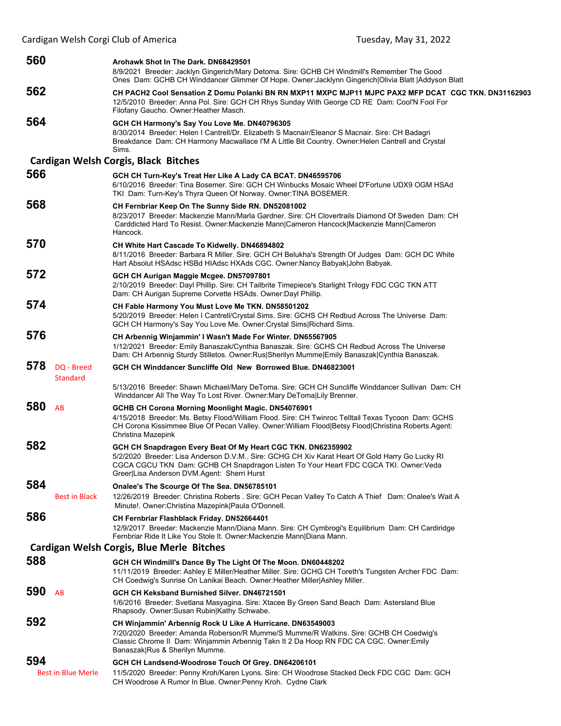| 560 |                               | Arohawk Shot In The Dark. DN68429501<br>8/9/2021 Breeder: Jacklyn Gingerich/Mary Detoma. Sire: GCHB CH Windmill's Remember The Good<br>Ones Dam: GCHB CH Winddancer Glimmer Of Hope. Owner: Jacklynn Gingerich   Olivia Blatt   Addyson Blatt                                                       |
|-----|-------------------------------|-----------------------------------------------------------------------------------------------------------------------------------------------------------------------------------------------------------------------------------------------------------------------------------------------------|
| 562 |                               | CH PACH2 Cool Sensation Z Domu Polanki BN RN MXP11 MXPC MJP11 MJPC PAX2 MFP DCAT CGC TKN. DN31162903<br>12/5/2010 Breeder: Anna Pol. Sire: GCH CH Rhys Sunday With George CD RE Dam: Cool'N Fool For<br>Filofany Gaucho. Owner: Heather Masch.                                                      |
| 564 |                               | GCH CH Harmony's Say You Love Me. DN40796305<br>8/30/2014 Breeder: Helen I Cantrell/Dr. Elizabeth S Macnair/Eleanor S Macnair. Sire: CH Badagri<br>Breakdance Dam: CH Harmony Macwallace I'M A Little Bit Country. Owner: Helen Cantrell and Crystal<br>Sims.                                       |
|     |                               | <b>Cardigan Welsh Corgis, Black Bitches</b>                                                                                                                                                                                                                                                         |
| 566 |                               | GCH CH Turn-Key's Treat Her Like A Lady CA BCAT. DN46595706<br>6/10/2016 Breeder: Tina Bosemer. Sire: GCH CH Winbucks Mosaic Wheel D'Fortune UDX9 OGM HSAd<br>TKI Dam: Turn-Key's Thyra Queen Of Norway. Owner: TINA BOSEMER.                                                                       |
| 568 |                               | CH Fernbriar Keep On The Sunny Side RN. DN52081002<br>8/23/2017 Breeder: Mackenzie Mann/Marla Gardner. Sire: CH Clovertrails Diamond Of Sweden Dam: CH<br>Carddicted Hard To Resist. Owner:Mackenzie Mann Cameron Hancock Mackenzie Mann Cameron<br>Hancock.                                        |
| 570 |                               | CH White Hart Cascade To Kidwelly. DN46894802<br>8/11/2016 Breeder: Barbara R Miller. Sire: GCH CH Belukha's Strength Of Judges Dam: GCH DC White<br>Hart Absolut HSAdsc HSBd HIAdsc HXAds CGC. Owner: Nancy Babyak John Babyak.                                                                    |
| 572 |                               | GCH CH Aurigan Maggie Mcgee. DN57097801<br>2/10/2019 Breeder: Dayl Phillip. Sire: CH Tailbrite Timepiece's Starlight Trilogy FDC CGC TKN ATT<br>Dam: CH Aurigan Supreme Corvette HSAds. Owner: Dayl Phillip.                                                                                        |
| 574 |                               | CH Fable Harmony You Must Love Me TKN. DN58501202<br>5/20/2019 Breeder: Helen I Cantrell/Crystal Sims. Sire: GCHS CH Redbud Across The Universe Dam:<br>GCH CH Harmony's Say You Love Me. Owner: Crystal Sims   Richard Sims.                                                                       |
| 576 |                               | CH Arbennig Winjammin' I Wasn't Made For Winter. DN65567905<br>1/12/2021 Breeder: Emily Banaszak/Cynthia Banaszak. Sire: GCHS CH Redbud Across The Universe<br>Dam: CH Arbennig Sturdy Stilletos. Owner:Rus Sherilyn Mumme Emily Banaszak Cynthia Banaszak.                                         |
| 578 | DQ - Breed<br><b>Standard</b> | GCH CH Winddancer Suncliffe Old New Borrowed Blue. DN46823001<br>5/13/2016 Breeder: Shawn Michael/Mary DeToma. Sire: GCH CH Suncliffe Winddancer Sullivan Dam: CH                                                                                                                                   |
|     |                               | Winddancer All The Way To Lost River. Owner: Mary DeToma Lily Brenner.                                                                                                                                                                                                                              |
| 580 | AB                            | GCHB CH Corona Morning Moonlight Magic. DN54076901<br>4/15/2018 Breeder: Ms. Betsy Flood/William Flood. Sire: CH Twinroc Telltail Texas Tycoon Dam: GCHS<br>CH Corona Kissimmee Blue Of Pecan Valley. Owner: William Flood Betsy Flood Christina Roberts Agent:<br>Christina Mazepink               |
| 582 |                               | GCH CH Snapdragon Every Beat Of My Heart CGC TKN. DN62359902<br>5/2/2020 Breeder: Lisa Anderson D.V.M Sire: GCHG CH Xiv Karat Heart Of Gold Harry Go Lucky RI<br>CGCA CGCU TKN Dam: GCHB CH Snapdragon Listen To Your Heart FDC CGCA TKI. Owner:Veda<br>Greer Lisa Anderson DVM.Agent: Sherri Hurst |
| 584 | <b>Best in Black</b>          | Onalee's The Scourge Of The Sea. DN56785101<br>12/26/2019 Breeder: Christina Roberts . Sire: GCH Pecan Valley To Catch A Thief Dam: Onalee's Wait A<br>Minute!. Owner: Christina Mazepink Paula O'Donnell.                                                                                          |
| 586 |                               | <b>CH Fernbriar Flashblack Friday. DN52664401</b><br>12/9/2017 Breeder: Mackenzie Mann/Diana Mann. Sire: CH Cymbrogi's Equilibrium Dam: CH Cardiridge<br>Fernbriar Ride It Like You Stole It. Owner: Mackenzie Mann   Diana Mann.                                                                   |
|     |                               | Cardigan Welsh Corgis, Blue Merle Bitches                                                                                                                                                                                                                                                           |
| 588 |                               | GCH CH Windmill's Dance By The Light Of The Moon. DN60448202<br>11/11/2019 Breeder: Ashley E Miller/Heather Miller. Sire: GCHG CH Toreth's Tungsten Archer FDC Dam:<br>CH Coedwig's Sunrise On Lanikai Beach. Owner: Heather Miller Ashley Miller.                                                  |
| 590 | AB                            | GCH CH Keksband Burnished Silver. DN46721501<br>1/6/2016 Breeder: Svetlana Masyagina. Sire: Xtacee By Green Sand Beach Dam: Astersland Blue<br>Rhapsody. Owner: Susan Rubin Kathy Schwabe.                                                                                                          |
| 592 |                               | CH Winjammin' Arbennig Rock U Like A Hurricane. DN63549003<br>7/20/2020 Breeder: Amanda Roberson/R Mumme/S Mumme/R Watkins. Sire: GCHB CH Coedwig's<br>Classic Chrome II Dam: Winjammin Arbennig Takn It 2 Da Hoop RN FDC CA CGC. Owner: Emily<br>Banaszak Rus & Sherilyn Mumme.                    |
| 594 | <b>Best in Blue Merle</b>     | GCH CH Landsend-Woodrose Touch Of Grey. DN64206101<br>11/5/2020 Breeder: Penny Kroh/Karen Lyons. Sire: CH Woodrose Stacked Deck FDC CGC Dam: GCH<br>CH Woodrose A Rumor In Blue. Owner: Penny Kroh. Cydne Clark                                                                                     |